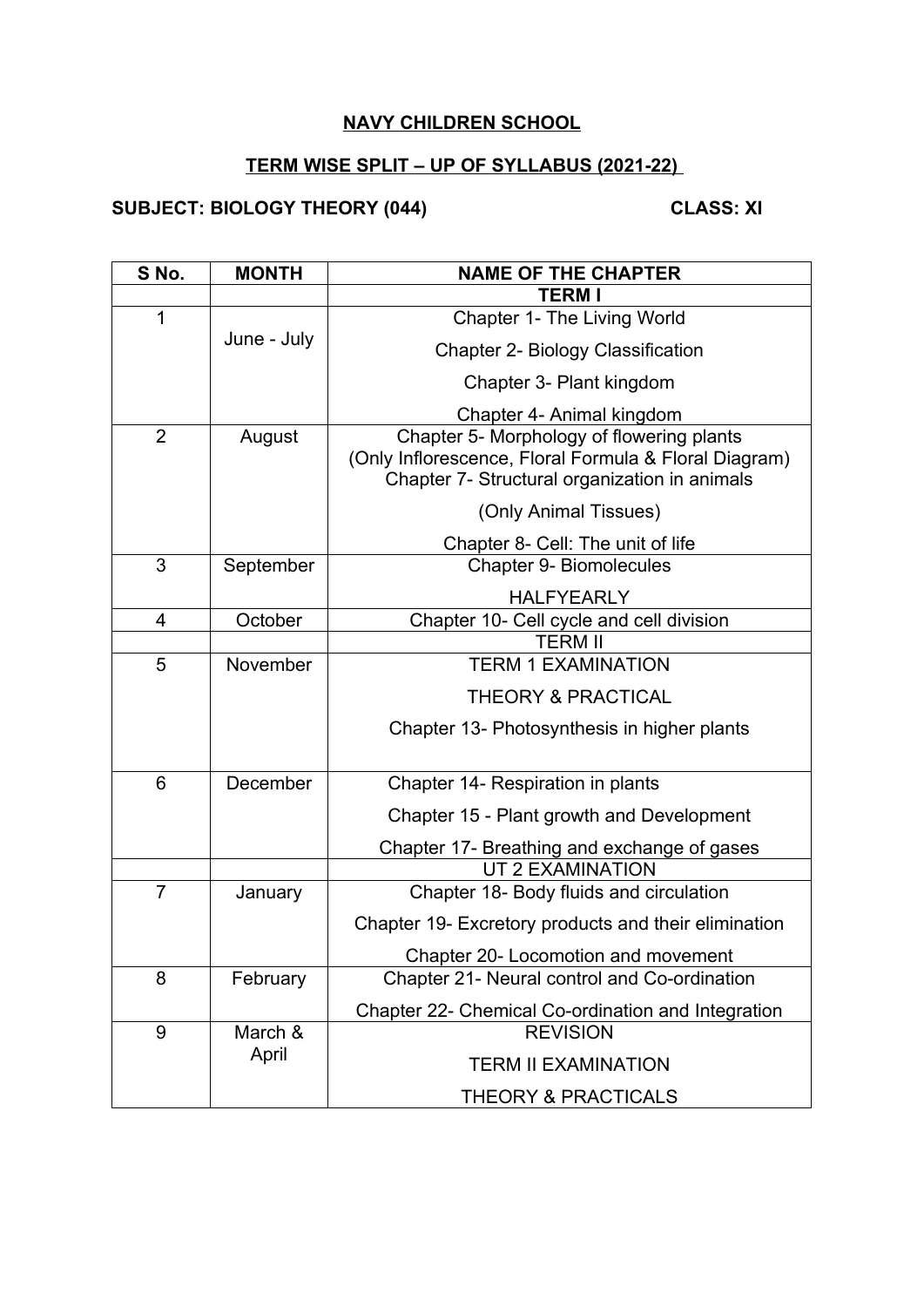### **NAVY CHILDREN SCHOOL**

# **TERM WISE SPLIT – UP OF SYLLABUS (2021-22)**

## **SUBJECT: BIOLOGY THEORY (044) CLASS: XI**

| S No.          | <b>MONTH</b> | <b>NAME OF THE CHAPTER</b>                                                                                                                          |
|----------------|--------------|-----------------------------------------------------------------------------------------------------------------------------------------------------|
|                |              | <b>TERMI</b>                                                                                                                                        |
| 1              | June - July  | Chapter 1- The Living World                                                                                                                         |
|                |              | <b>Chapter 2- Biology Classification</b>                                                                                                            |
|                |              | Chapter 3- Plant kingdom                                                                                                                            |
|                |              | Chapter 4- Animal kingdom                                                                                                                           |
| $\overline{2}$ | August       | Chapter 5- Morphology of flowering plants<br>(Only Inflorescence, Floral Formula & Floral Diagram)<br>Chapter 7- Structural organization in animals |
|                |              | (Only Animal Tissues)                                                                                                                               |
|                |              | Chapter 8- Cell: The unit of life                                                                                                                   |
| 3              | September    | <b>Chapter 9- Biomolecules</b>                                                                                                                      |
|                |              | <b>HALFYEARLY</b>                                                                                                                                   |
| 4              | October      | Chapter 10- Cell cycle and cell division                                                                                                            |
|                |              | <b>TERM II</b>                                                                                                                                      |
| 5              | November     | <b>TERM 1 EXAMINATION</b>                                                                                                                           |
|                |              | <b>THEORY &amp; PRACTICAL</b>                                                                                                                       |
|                |              | Chapter 13- Photosynthesis in higher plants                                                                                                         |
| 6              | December     | Chapter 14- Respiration in plants                                                                                                                   |
|                |              | Chapter 15 - Plant growth and Development                                                                                                           |
|                |              | Chapter 17- Breathing and exchange of gases                                                                                                         |
|                |              | <b>UT 2 EXAMINATION</b>                                                                                                                             |
| $\overline{7}$ | January      | Chapter 18- Body fluids and circulation                                                                                                             |
|                |              | Chapter 19- Excretory products and their elimination                                                                                                |
|                |              | Chapter 20- Locomotion and movement                                                                                                                 |
| 8              | February     | Chapter 21- Neural control and Co-ordination                                                                                                        |
|                |              | Chapter 22- Chemical Co-ordination and Integration                                                                                                  |
| 9              | March &      | <b>REVISION</b>                                                                                                                                     |
|                | April        | <b>TERM II EXAMINATION</b>                                                                                                                          |
|                |              | <b>THEORY &amp; PRACTICALS</b>                                                                                                                      |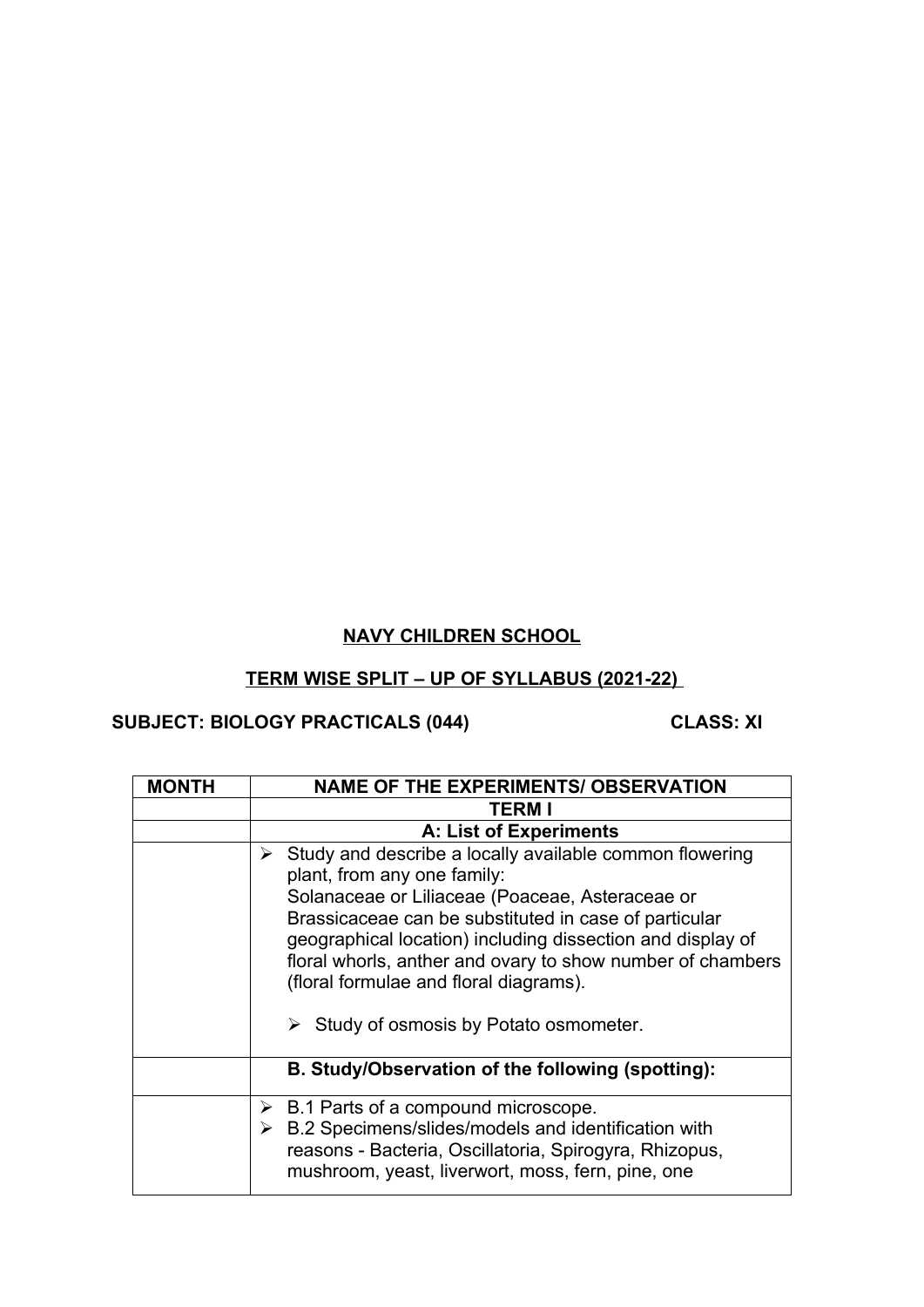## **NAVY CHILDREN SCHOOL**

## **TERM WISE SPLIT – UP OF SYLLABUS (2021-22)**

## **SUBJECT: BIOLOGY PRACTICALS (044) CLASS: XI**

| <b>MONTH</b> | <b>NAME OF THE EXPERIMENTS/ OBSERVATION</b>                                                                                                                                                                                                                                                                                                                                                                                 |  |  |
|--------------|-----------------------------------------------------------------------------------------------------------------------------------------------------------------------------------------------------------------------------------------------------------------------------------------------------------------------------------------------------------------------------------------------------------------------------|--|--|
|              | <b>TERM I</b>                                                                                                                                                                                                                                                                                                                                                                                                               |  |  |
|              | A: List of Experiments                                                                                                                                                                                                                                                                                                                                                                                                      |  |  |
|              | Study and describe a locally available common flowering<br>➤<br>plant, from any one family:<br>Solanaceae or Liliaceae (Poaceae, Asteraceae or<br>Brassicaceae can be substituted in case of particular<br>geographical location) including dissection and display of<br>floral whorls, anther and ovary to show number of chambers<br>(floral formulae and floral diagrams).<br>Study of osmosis by Potato osmometer.<br>➤ |  |  |
|              | B. Study/Observation of the following (spotting):                                                                                                                                                                                                                                                                                                                                                                           |  |  |
|              | $\triangleright$ B.1 Parts of a compound microscope.<br>$\triangleright$ B.2 Specimens/slides/models and identification with<br>reasons - Bacteria, Oscillatoria, Spirogyra, Rhizopus,<br>mushroom, yeast, liverwort, moss, fern, pine, one                                                                                                                                                                                 |  |  |